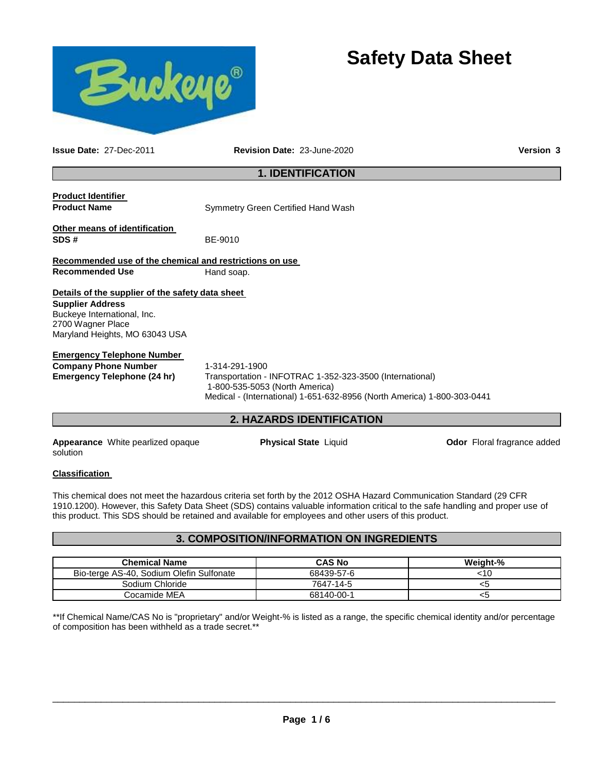

# **Safety Data Sheet**

**Issue Date:** 27-Dec-2011 **Revision Date:** 23-June-2020 **Version 3**

## **1. IDENTIFICATION**

**Product Identifier** 

**Product Name Symmetry Green Certified Hand Wash** 

**Other means of identification SDS #** BE-9010

**Recommended use of the chemical and restrictions on use Recommended Use 6 Hand soap.** 

**Details of the supplier of the safety data sheet Supplier Address** Buckeye International, Inc. 2700 Wagner Place Maryland Heights, MO 63043 USA

## **Emergency Telephone Number**

**Company Phone Number** 1-314-291-1900<br>**Emergency Telephone (24 hr)** Transportation -

Transportation - INFOTRAC 1-352-323-3500 (International) 1-800-535-5053 (North America) Medical - (International) 1-651-632-8956 (North America) 1-800-303-0441

## **2. HAZARDS IDENTIFICATION**

**Appearance** White pearlized opaque solution

**Physical State** Liquid **Department Constructs** Odor Floral fragrance added

## **Classification**

This chemical does not meet the hazardous criteria set forth by the 2012 OSHA Hazard Communication Standard (29 CFR 1910.1200). However, this Safety Data Sheet (SDS) contains valuable information critical to the safe handling and proper use of this product. This SDS should be retained and available for employees and other users of this product.

## **3. COMPOSITION/INFORMATION ON INGREDIENTS**

| <b>Chemical Name</b>                     | <b>CAS No</b> | Weight-% |
|------------------------------------------|---------------|----------|
| Bio-terge AS-40, Sodium Olefin Sulfonate | 68439-57-6    | <10      |
| Sodium Chloride                          | 7647-14-5     |          |
| Cocamide MEA                             | 68140-00-1    | <ວ       |

\*\*If Chemical Name/CAS No is "proprietary" and/or Weight-% is listed as a range, the specific chemical identity and/or percentage of composition has been withheld as a trade secret.\*\*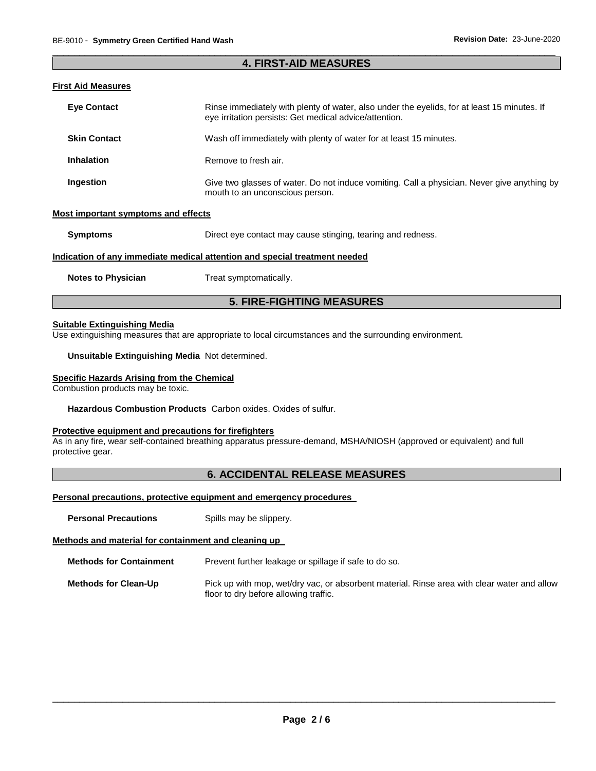## \_\_\_\_\_\_\_\_\_\_\_\_\_\_\_\_\_\_\_\_\_\_\_\_\_\_\_\_\_\_\_\_\_\_\_\_\_\_\_\_\_\_\_\_\_\_\_\_\_\_\_\_\_\_\_\_\_\_\_\_\_\_\_\_\_\_\_\_\_\_\_\_\_\_\_\_\_\_\_\_\_\_\_\_\_\_\_\_\_\_\_\_\_ **4. FIRST-AID MEASURES**

## **First Aid Measures**

| <b>Eye Contact</b>                  | Rinse immediately with plenty of water, also under the eyelids, for at least 15 minutes. If<br>eye irritation persists: Get medical advice/attention. |
|-------------------------------------|-------------------------------------------------------------------------------------------------------------------------------------------------------|
| <b>Skin Contact</b>                 | Wash off immediately with plenty of water for at least 15 minutes.                                                                                    |
| Inhalation                          | Remove to fresh air.                                                                                                                                  |
| Ingestion                           | Give two glasses of water. Do not induce vomiting. Call a physician. Never give anything by<br>mouth to an unconscious person.                        |
| Most important symptoms and effects |                                                                                                                                                       |
| <b>Symptoms</b>                     | Direct eye contact may cause stinging, tearing and redness.                                                                                           |

#### **Indication of any immediate medical attention and special treatment needed**

**Notes to Physician Treat symptomatically.** 

## **5. FIRE-FIGHTING MEASURES**

## **Suitable Extinguishing Media**

Use extinguishing measures that are appropriate to local circumstances and the surrounding environment.

#### **Unsuitable Extinguishing Media** Not determined.

#### **Specific Hazards Arising from the Chemical**

Combustion products may be toxic.

### **Hazardous Combustion Products** Carbon oxides. Oxides of sulfur.

## **Protective equipment and precautions for firefighters**

As in any fire, wear self-contained breathing apparatus pressure-demand, MSHA/NIOSH (approved or equivalent) and full protective gear.

## **6. ACCIDENTAL RELEASE MEASURES**

## **Personal precautions, protective equipment and emergency procedures**

**Personal Precautions Spills may be slippery.** 

## **Methods and material for containment and cleaning up**

**Methods for Containment** Prevent further leakage or spillage if safe to do so.

**Methods for Clean-Up** Pick up with mop, wet/dry vac, or absorbent material. Rinse area with clear water and allow floor to dry before allowing traffic.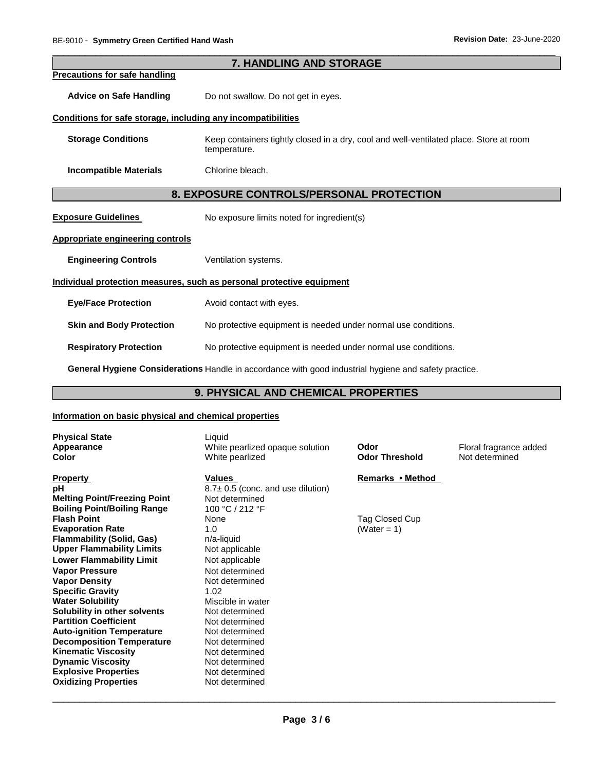|                                                              | 7. HANDLING AND STORAGE                                                                                         |  |  |
|--------------------------------------------------------------|-----------------------------------------------------------------------------------------------------------------|--|--|
| <b>Precautions for safe handling</b>                         |                                                                                                                 |  |  |
| <b>Advice on Safe Handling</b>                               | Do not swallow. Do not get in eyes.                                                                             |  |  |
| Conditions for safe storage, including any incompatibilities |                                                                                                                 |  |  |
| <b>Storage Conditions</b>                                    | Keep containers tightly closed in a dry, cool and well-ventilated place. Store at room<br>temperature.          |  |  |
| <b>Incompatible Materials</b>                                | Chlorine bleach.                                                                                                |  |  |
|                                                              | 8. EXPOSURE CONTROLS/PERSONAL PROTECTION                                                                        |  |  |
| <b>Exposure Guidelines</b>                                   | No exposure limits noted for ingredient(s)                                                                      |  |  |
| <b>Appropriate engineering controls</b>                      |                                                                                                                 |  |  |
| <b>Engineering Controls</b>                                  | Ventilation systems.                                                                                            |  |  |
|                                                              | Individual protection measures, such as personal protective equipment                                           |  |  |
| <b>Eye/Face Protection</b>                                   | Avoid contact with eyes.                                                                                        |  |  |
| <b>Skin and Body Protection</b>                              | No protective equipment is needed under normal use conditions.                                                  |  |  |
| <b>Respiratory Protection</b>                                | No protective equipment is needed under normal use conditions.                                                  |  |  |
|                                                              | Access Holding Accelleration of the College and the College and the College and the College and the College and |  |  |

\_\_\_\_\_\_\_\_\_\_\_\_\_\_\_\_\_\_\_\_\_\_\_\_\_\_\_\_\_\_\_\_\_\_\_\_\_\_\_\_\_\_\_\_\_\_\_\_\_\_\_\_\_\_\_\_\_\_\_\_\_\_\_\_\_\_\_\_\_\_\_\_\_\_\_\_\_\_\_\_\_\_\_\_\_\_\_\_\_\_\_\_\_

**7. HANDLING AND STORAGE** 

**General Hygiene Considerations** Handle in accordance with good industrial hygiene and safety practice.

# **9. PHYSICAL AND CHEMICAL PROPERTIES**

## **Information on basic physical and chemical properties**

| <b>Physical State</b>               | Liquid                                 |                       |                        |
|-------------------------------------|----------------------------------------|-----------------------|------------------------|
| Appearance                          | White pearlized opaque solution        | Odor                  | Floral fragrance added |
| <b>Color</b>                        | White pearlized                        | <b>Odor Threshold</b> | Not determined         |
|                                     |                                        |                       |                        |
| <b>Property</b>                     | Values                                 | Remarks • Method      |                        |
| рH                                  | $8.7 \pm 0.5$ (conc. and use dilution) |                       |                        |
| <b>Melting Point/Freezing Point</b> | Not determined                         |                       |                        |
| <b>Boiling Point/Boiling Range</b>  | 100 °C / 212 °F                        |                       |                        |
| <b>Flash Point</b>                  | None                                   | Tag Closed Cup        |                        |
| <b>Evaporation Rate</b>             | 1.0                                    | (Water = 1)           |                        |
| <b>Flammability (Solid, Gas)</b>    | n/a-liquid                             |                       |                        |
| <b>Upper Flammability Limits</b>    | Not applicable                         |                       |                        |
| <b>Lower Flammability Limit</b>     | Not applicable                         |                       |                        |
| <b>Vapor Pressure</b>               | Not determined                         |                       |                        |
| <b>Vapor Density</b>                | Not determined                         |                       |                        |
| <b>Specific Gravity</b>             | 1.02                                   |                       |                        |
| <b>Water Solubility</b>             | Miscible in water                      |                       |                        |
| Solubility in other solvents        | Not determined                         |                       |                        |
| <b>Partition Coefficient</b>        | Not determined                         |                       |                        |
| <b>Auto-ignition Temperature</b>    | Not determined                         |                       |                        |
| <b>Decomposition Temperature</b>    | Not determined                         |                       |                        |
| <b>Kinematic Viscosity</b>          | Not determined                         |                       |                        |
| <b>Dynamic Viscosity</b>            | Not determined                         |                       |                        |
| <b>Explosive Properties</b>         | Not determined                         |                       |                        |
| <b>Oxidizing Properties</b>         | Not determined                         |                       |                        |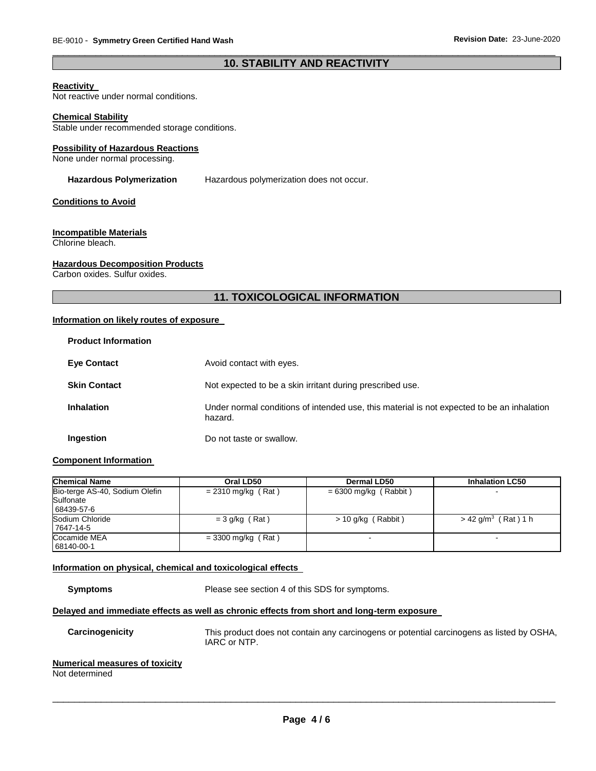## \_\_\_\_\_\_\_\_\_\_\_\_\_\_\_\_\_\_\_\_\_\_\_\_\_\_\_\_\_\_\_\_\_\_\_\_\_\_\_\_\_\_\_\_\_\_\_\_\_\_\_\_\_\_\_\_\_\_\_\_\_\_\_\_\_\_\_\_\_\_\_\_\_\_\_\_\_\_\_\_\_\_\_\_\_\_\_\_\_\_\_\_\_ **10. STABILITY AND REACTIVITY**

## **Reactivity**

Not reactive under normal conditions.

#### **Chemical Stability**

Stable under recommended storage conditions.

#### **Possibility of Hazardous Reactions**

None under normal processing.

#### **Hazardous Polymerization** Hazardous polymerization does not occur.

#### **Conditions to Avoid**

#### **Incompatible Materials**

Chlorine bleach.

#### **Hazardous Decomposition Products**

Carbon oxides. Sulfur oxides.

## **11. TOXICOLOGICAL INFORMATION**

## **Information on likely routes of exposure**

| <b>Product Information</b> |                                                                                                       |
|----------------------------|-------------------------------------------------------------------------------------------------------|
| <b>Eye Contact</b>         | Avoid contact with eyes.                                                                              |
| <b>Skin Contact</b>        | Not expected to be a skin irritant during prescribed use.                                             |
| <b>Inhalation</b>          | Under normal conditions of intended use, this material is not expected to be an inhalation<br>hazard. |
| Ingestion                  | Do not taste or swallow.                                                                              |

## **Component Information**

| <b>Chemical Name</b>                                      | Oral LD50            | Dermal LD50             | <b>Inhalation LC50</b>            |
|-----------------------------------------------------------|----------------------|-------------------------|-----------------------------------|
| Bio-terge AS-40, Sodium Olefin<br>Sulfonate<br>68439-57-6 | $= 2310$ mg/kg (Rat) | $= 6300$ mg/kg (Rabbit) |                                   |
| Sodium Chloride<br>7647-14-5                              | $=$ 3 g/kg (Rat)     | $> 10$ g/kg (Rabbit)    | $>$ 42 g/m <sup>3</sup> (Rat) 1 h |
| Cocamide MEA<br>68140-00-1                                | $=$ 3300 mg/kg (Rat) |                         |                                   |

## **Information on physical, chemical and toxicological effects**

**Symptoms** Please see section 4 of this SDS for symptoms.

## **Delayed and immediate effects as well as chronic effects from short and long-term exposure**

**Carcinogenicity** This product does not contain any carcinogens or potential carcinogens as listed by OSHA, IARC or NTP.

## **Numerical measures of toxicity**

Not determined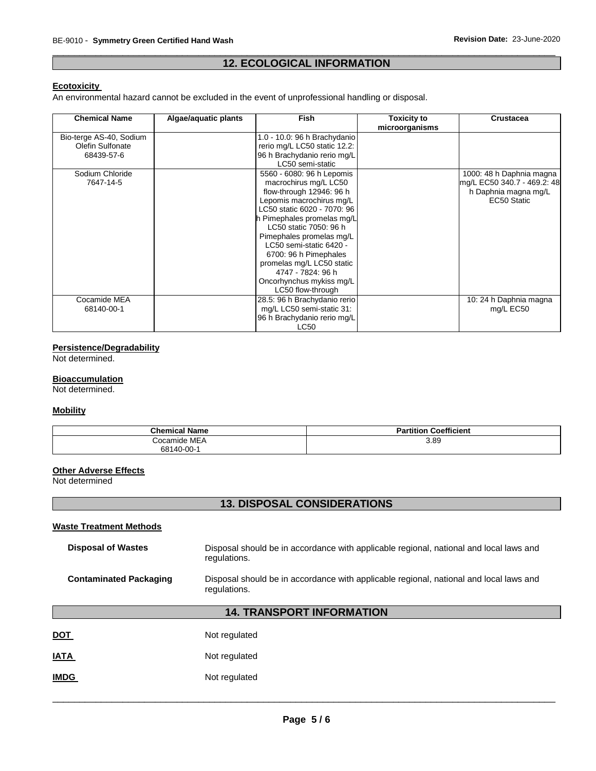## \_\_\_\_\_\_\_\_\_\_\_\_\_\_\_\_\_\_\_\_\_\_\_\_\_\_\_\_\_\_\_\_\_\_\_\_\_\_\_\_\_\_\_\_\_\_\_\_\_\_\_\_\_\_\_\_\_\_\_\_\_\_\_\_\_\_\_\_\_\_\_\_\_\_\_\_\_\_\_\_\_\_\_\_\_\_\_\_\_\_\_\_\_ **12. ECOLOGICAL INFORMATION**

## **Ecotoxicity**

An environmental hazard cannot be excluded in the event of unprofessional handling or disposal.

| <b>Chemical Name</b>    | Algae/aquatic plants | Fish                         | <b>Toxicity to</b> | <b>Crustacea</b>            |
|-------------------------|----------------------|------------------------------|--------------------|-----------------------------|
|                         |                      |                              | microorganisms     |                             |
| Bio-terge AS-40, Sodium |                      | 1.0 - 10.0: 96 h Brachydanio |                    |                             |
| Olefin Sulfonate        |                      | rerio mg/L LC50 static 12.2: |                    |                             |
| 68439-57-6              |                      | 96 h Brachydanio rerio mg/L  |                    |                             |
|                         |                      | LC50 semi-static             |                    |                             |
| Sodium Chloride         |                      | 5560 - 6080: 96 h Lepomis    |                    | 1000: 48 h Daphnia magna    |
| 7647-14-5               |                      | macrochirus mg/L LC50        |                    | mg/L EC50 340.7 - 469.2: 48 |
|                         |                      | flow-through 12946: 96 h     |                    | h Daphnia magna mg/L        |
|                         |                      | Lepomis macrochirus mg/L     |                    | EC50 Static                 |
|                         |                      | LC50 static 6020 - 7070: 96  |                    |                             |
|                         |                      | h Pimephales promelas mg/L   |                    |                             |
|                         |                      | LC50 static 7050: 96 h       |                    |                             |
|                         |                      | Pimephales promelas mg/L     |                    |                             |
|                         |                      | LC50 semi-static 6420 -      |                    |                             |
|                         |                      | 6700: 96 h Pimephales        |                    |                             |
|                         |                      | promelas mg/L LC50 static    |                    |                             |
|                         |                      | 4747 - 7824: 96 h            |                    |                             |
|                         |                      | Oncorhynchus mykiss mg/L     |                    |                             |
|                         |                      | LC50 flow-through            |                    |                             |
| Cocamide MEA            |                      | 28.5: 96 h Brachydanio rerio |                    | 10: 24 h Daphnia magna      |
| 68140-00-1              |                      | mg/L LC50 semi-static 31:    |                    | mg/L EC50                   |
|                         |                      | 96 h Brachydanio rerio mg/L  |                    |                             |
|                         |                      | <b>LC50</b>                  |                    |                             |

## **Persistence/Degradability**

Not determined.

## **Bioaccumulation**

Not determined.

## **Mobility**

| <b>Chemical Name</b> | Coefficient<br><b>Partition</b> |
|----------------------|---------------------------------|
| Cocamide MEA         | 3.89                            |
| 68140-00-1           |                                 |

## **Other Adverse Effects**

Not determined

## **13. DISPOSAL CONSIDERATIONS**

## **Waste Treatment Methods**

| <b>Disposal of Wastes</b>     | Disposal should be in accordance with applicable regional, national and local laws and<br>regulations. |
|-------------------------------|--------------------------------------------------------------------------------------------------------|
| <b>Contaminated Packaging</b> | Disposal should be in accordance with applicable regional, national and local laws and<br>regulations. |
|                               | <b>14. TRANSPORT INFORMATION</b>                                                                       |
| <b>DOT</b>                    | Not regulated                                                                                          |

| Not regulated |
|---------------|
|               |

# **IMDG** Not regulated